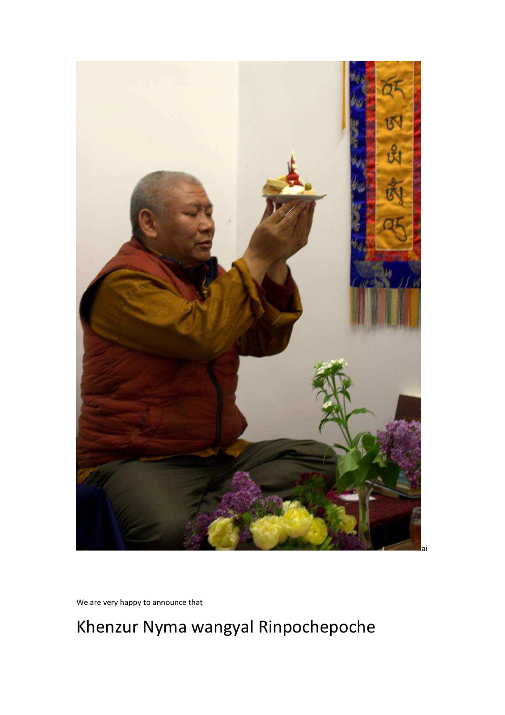# 15  $R_1$ ai

Khenzur Nyma wangyal Rinpochepoche

We are very happy to announce that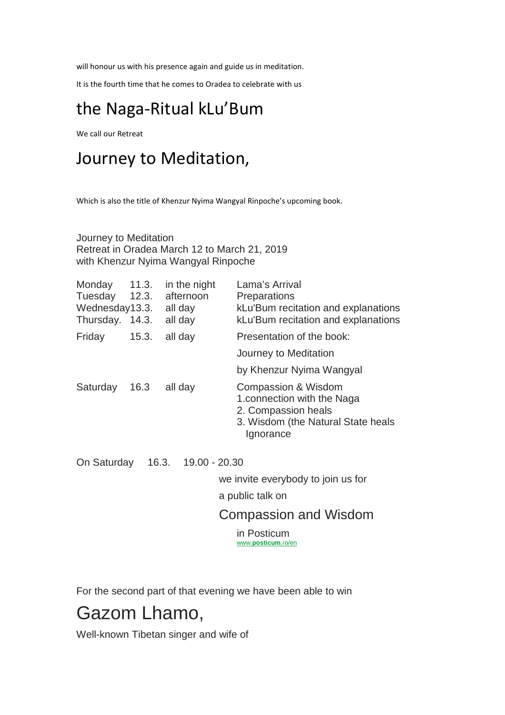will honour us with his presence again and guide us in meditation.

It is the fourth time that he comes to Oradea to celebrate with us

### the Naga-Ritual kLu'Bum

We call our Retreat

### Journey to Meditation,

Which is also the title of Khenzur Nyima Wangyal Rinpoche's upcoming book.

Journey to Meditation Retreat in Oradea March 12 to March 21, 2019 with Khenzur Nyima Wangyal Rinpoche

| Monday<br>Tuesday<br>Wednesday13.3.<br>Thursday. 14.3. | 11.3.<br>12.3. | in the night<br>afternoon<br>all day<br>all day | Lama's Arrival<br><b>Preparations</b><br>kLu'Bum recitation and explanations<br>kLu'Bum recitation and explanations          |
|--------------------------------------------------------|----------------|-------------------------------------------------|------------------------------------------------------------------------------------------------------------------------------|
| Friday                                                 | 15.3.          | all day                                         | Presentation of the book:                                                                                                    |
|                                                        |                |                                                 | Journey to Meditation                                                                                                        |
|                                                        |                |                                                 | by Khenzur Nyima Wangyal                                                                                                     |
| Saturday 16.3                                          |                | all day                                         | Compassion & Wisdom<br>1. connection with the Naga<br>2. Compassion heals<br>3. Wisdom (the Natural State heals<br>Ignorance |
| On Saturday                                            | 16.3.          | 19.00 - 20.30                                   |                                                                                                                              |
|                                                        |                |                                                 | we invite everybody to join us for                                                                                           |
|                                                        |                |                                                 | a public talk on                                                                                                             |
|                                                        |                |                                                 | <b>Compassion and Wisdom</b>                                                                                                 |

in Posticum www.**posticum**.ro/en

For the second part of that evening we have been able to win

## Gazom Lhamo,

Well-known Tibetan singer and wife of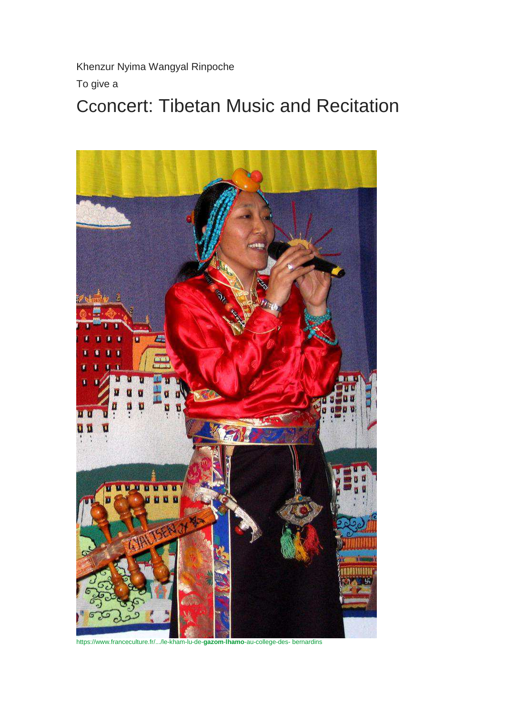Khenzur Nyima Wangyal Rinpoche To give a

# Cconcert: Tibetan Music and Recitation



https://www.franceculture.fr/.../le-kham-lu-de-**gazom**-**lhamo**-au-college-des- bernardins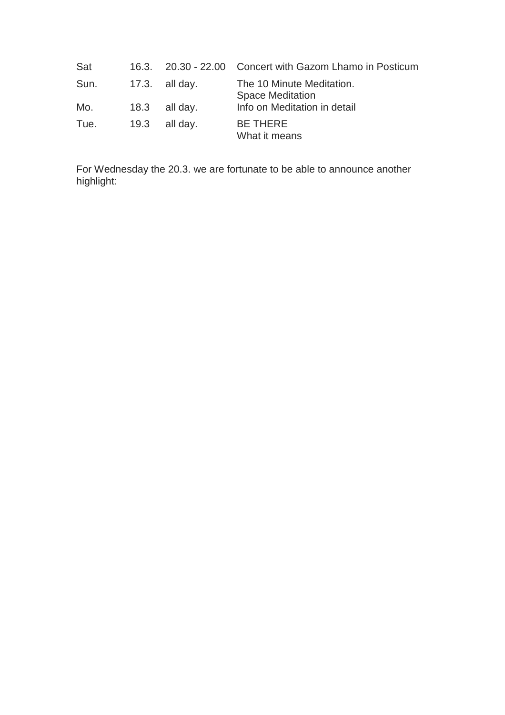| Sat  | 16.3. |                  | 20.30 - 22.00 Concert with Gazom Lhamo in Posticum   |
|------|-------|------------------|------------------------------------------------------|
| Sun. |       | $17.3.$ all day. | The 10 Minute Meditation.<br><b>Space Meditation</b> |
| Mo.  | 18.3  | all day.         | Info on Meditation in detail                         |
| Tue. |       | $19.3$ all day.  | <b>BE THERE</b><br>What it means                     |

For Wednesday the 20.3. we are fortunate to be able to announce another highlight: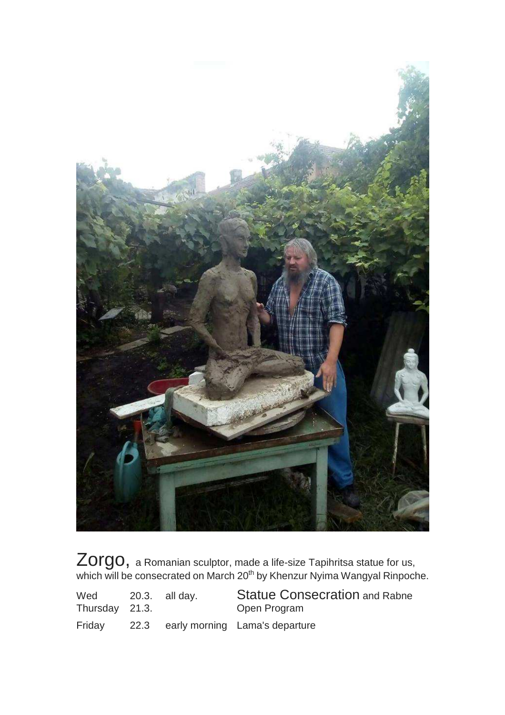

 $Zorgo$ , a Romanian sculptor, made a life-size Tapihritsa statue for us, which will be consecrated on March 20<sup>th</sup> by Khenzur Nyima Wangyal Rinpoche.

| Wed<br>Thursday 21.3. | 20.3. all day. | <b>Statue Consecration and Rabne</b><br>Open Program |
|-----------------------|----------------|------------------------------------------------------|
| Friday                |                | 22.3 early morning Lama's departure                  |